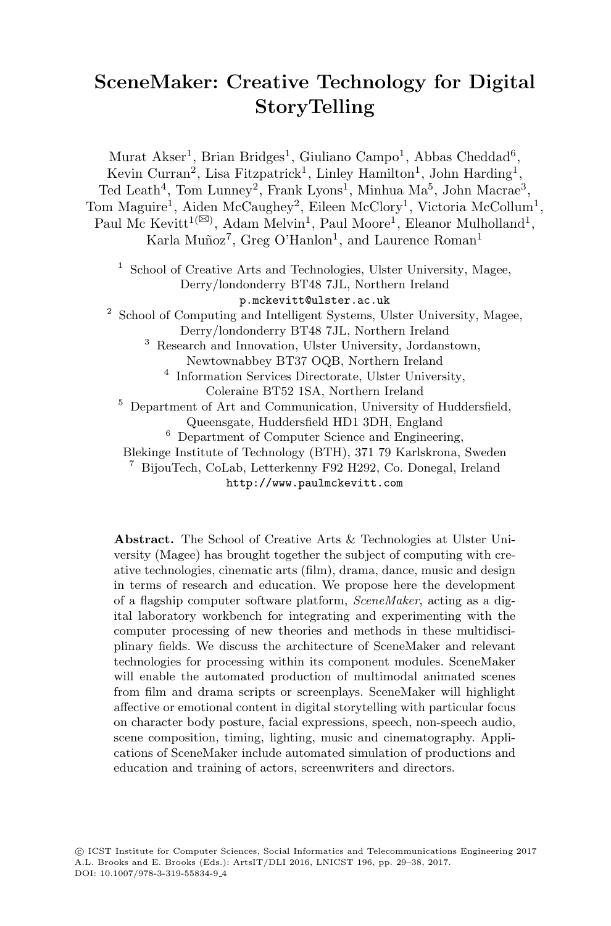# **SceneMaker: Creative Technology for Digital StoryTelling**

Murat Akser<sup>1</sup>, Brian Bridges<sup>1</sup>, Giuliano Campo<sup>1</sup>, Abbas Cheddad<sup>6</sup>, Kevin Curran<sup>2</sup>, Lisa Fitzpatrick<sup>1</sup>, Linley Hamilton<sup>1</sup>, John Harding<sup>1</sup>, Ted Leath<sup>4</sup>, Tom Lunney<sup>2</sup>, Frank Lyons<sup>1</sup>, Minhua Ma<sup>5</sup>, John Macrae<sup>3</sup>, Tom Maguire<sup>1</sup>, Aiden McCaughey<sup>2</sup>, Eileen McClory<sup>1</sup>, Victoria McCollum<sup>1</sup>,  $\text{Paul Mc Kevin Mecaugley}$ , Eleanor Mucholland<sup>1</sup>, Paul Moore<sup>1</sup>, Eleanor Mulholland<sup>1</sup>, Karla Muñoz<sup>7</sup>, Greg O'Hanlon<sup>1</sup>, and Laurence Roman<sup>1</sup>

<sup>1</sup> School of Creative Arts and Technologies, Ulster University, Magee, Derry/londonderry BT48 7JL, Northern Ireland p.mckevitt@ulster.ac.uk

<sup>2</sup> School of Computing and Intelligent Systems, Ulster University, Magee, Derry/londonderry BT48 7JL, Northern Ireland

<sup>3</sup> Research and Innovation, Ulster University, Jordanstown, Newtownabbey BT37 OQB, Northern Ireland

<sup>4</sup> Information Services Directorate, Ulster University, Coleraine BT52 1SA, Northern Ireland

<sup>5</sup> Department of Art and Communication, University of Huddersfield, Queensgate, Huddersfield HD1 3DH, England

<sup>6</sup> Department of Computer Science and Engineering,

Blekinge Institute of Technology (BTH), 371 79 Karlskrona, Sweden

<sup>7</sup> BijouTech, CoLab, Letterkenny F92 H292, Co. Donegal, Ireland http://www.paulmckevitt.com

**Abstract.** The School of Creative Arts & Technologies at Ulster University (Magee) has brought together the subject of computing with creative technologies, cinematic arts (film), drama, dance, music and design in terms of research and education. We propose here the development of a flagship computer software platform, *SceneMaker*, acting as a digital laboratory workbench for integrating and experimenting with the computer processing of new theories and methods in these multidisciplinary fields. We discuss the architecture of SceneMaker and relevant technologies for processing within its component modules. SceneMaker will enable the automated production of multimodal animated scenes from film and drama scripts or screenplays. SceneMaker will highlight affective or emotional content in digital storytelling with particular focus on character body posture, facial expressions, speech, non-speech audio, scene composition, timing, lighting, music and cinematography. Applications of SceneMaker include automated simulation of productions and education and training of actors, screenwriters and directors.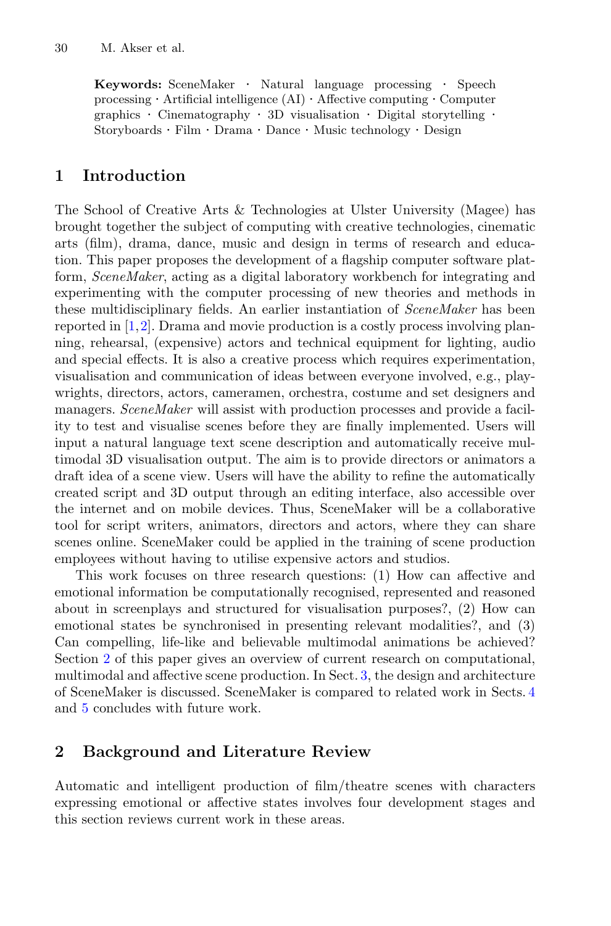**Keywords:** SceneMaker *·* Natural language processing *·* Speech processing *·* Artificial intelligence (AI) *·* Affective computing *·* Computer graphics *·* Cinematography *·* 3D visualisation *·* Digital storytelling *·* Storyboards *·* Film *·* Drama *·* Dance *·* Music technology *·* Design

### **1 Introduction**

The School of Creative Arts & Technologies at Ulster University (Magee) has brought together the subject of computing with creative technologies, cinematic arts (film), drama, dance, music and design in terms of research and education. This paper proposes the development of a flagship computer software platform, *SceneMaker*, acting as a digital laboratory workbench for integrating and experimenting with the computer processing of new theories and methods in these multidisciplinary fields. An earlier instantiation of *SceneMaker* has been reported in [\[1](#page-7-0)[,2](#page-7-1)]. Drama and movie production is a costly process involving planning, rehearsal, (expensive) actors and technical equipment for lighting, audio and special effects. It is also a creative process which requires experimentation, visualisation and communication of ideas between everyone involved, e.g., playwrights, directors, actors, cameramen, orchestra, costume and set designers and managers. *SceneMaker* will assist with production processes and provide a facility to test and visualise scenes before they are finally implemented. Users will input a natural language text scene description and automatically receive multimodal 3D visualisation output. The aim is to provide directors or animators a draft idea of a scene view. Users will have the ability to refine the automatically created script and 3D output through an editing interface, also accessible over the internet and on mobile devices. Thus, SceneMaker will be a collaborative tool for script writers, animators, directors and actors, where they can share scenes online. SceneMaker could be applied in the training of scene production employees without having to utilise expensive actors and studios.

This work focuses on three research questions: (1) How can affective and emotional information be computationally recognised, represented and reasoned about in screenplays and structured for visualisation purposes?, (2) How can emotional states be synchronised in presenting relevant modalities?, and (3) Can compelling, life-like and believable multimodal animations be achieved? Section [2](#page-1-0) of this paper gives an overview of current research on computational, multimodal and affective scene production. In Sect. [3,](#page-4-0) the design and architecture of SceneMaker is discussed. SceneMaker is compared to related work in Sects. [4](#page-6-0) and [5](#page-6-1) concludes with future work.

### <span id="page-1-0"></span>**2 Background and Literature Review**

Automatic and intelligent production of film/theatre scenes with characters expressing emotional or affective states involves four development stages and this section reviews current work in these areas.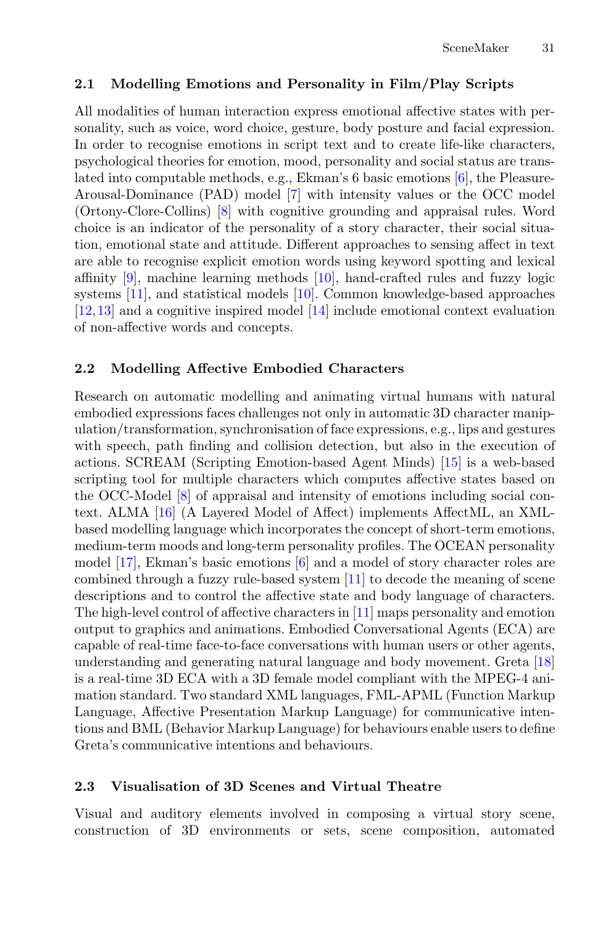### **2.1 Modelling Emotions and Personality in Film/Play Scripts**

All modalities of human interaction express emotional affective states with personality, such as voice, word choice, gesture, body posture and facial expression. In order to recognise emotions in script text and to create life-like characters, psychological theories for emotion, mood, personality and social status are translated into computable methods, e.g., Ekman's 6 basic emotions [\[6\]](#page-7-2), the Pleasure-Arousal-Dominance (PAD) model [\[7](#page-7-3)] with intensity values or the OCC model (Ortony-Clore-Collins) [\[8\]](#page-7-4) with cognitive grounding and appraisal rules. Word choice is an indicator of the personality of a story character, their social situation, emotional state and attitude. Different approaches to sensing affect in text are able to recognise explicit emotion words using keyword spotting and lexical affinity [\[9\]](#page-7-5), machine learning methods [\[10](#page-7-6)], hand-crafted rules and fuzzy logic systems [\[11](#page-7-7)], and statistical models [\[10\]](#page-7-6). Common knowledge-based approaches [\[12](#page-7-8)[,13](#page-8-0)] and a cognitive inspired model [\[14](#page-8-1)] include emotional context evaluation of non-affective words and concepts.

#### **2.2 Modelling Affective Embodied Characters**

Research on automatic modelling and animating virtual humans with natural embodied expressions faces challenges not only in automatic 3D character manipulation/transformation, synchronisation of face expressions, e.g., lips and gestures with speech, path finding and collision detection, but also in the execution of actions. SCREAM (Scripting Emotion-based Agent Minds) [\[15\]](#page-8-2) is a web-based scripting tool for multiple characters which computes affective states based on the OCC-Model [\[8\]](#page-7-4) of appraisal and intensity of emotions including social context. ALMA [\[16\]](#page-8-3) (A Layered Model of Affect) implements AffectML, an XMLbased modelling language which incorporates the concept of short-term emotions, medium-term moods and long-term personality profiles. The OCEAN personality model [\[17\]](#page-8-4), Ekman's basic emotions [\[6](#page-7-2)] and a model of story character roles are combined through a fuzzy rule-based system [\[11](#page-7-7)] to decode the meaning of scene descriptions and to control the affective state and body language of characters. The high-level control of affective characters in [\[11](#page-7-7)] maps personality and emotion output to graphics and animations. Embodied Conversational Agents (ECA) are capable of real-time face-to-face conversations with human users or other agents, understanding and generating natural language and body movement. Greta [\[18\]](#page-8-5) is a real-time 3D ECA with a 3D female model compliant with the MPEG-4 animation standard. Two standard XML languages, FML-APML (Function Markup Language, Affective Presentation Markup Language) for communicative intentions and BML (Behavior Markup Language) for behaviours enable users to define Greta's communicative intentions and behaviours.

#### **2.3 Visualisation of 3D Scenes and Virtual Theatre**

Visual and auditory elements involved in composing a virtual story scene, construction of 3D environments or sets, scene composition, automated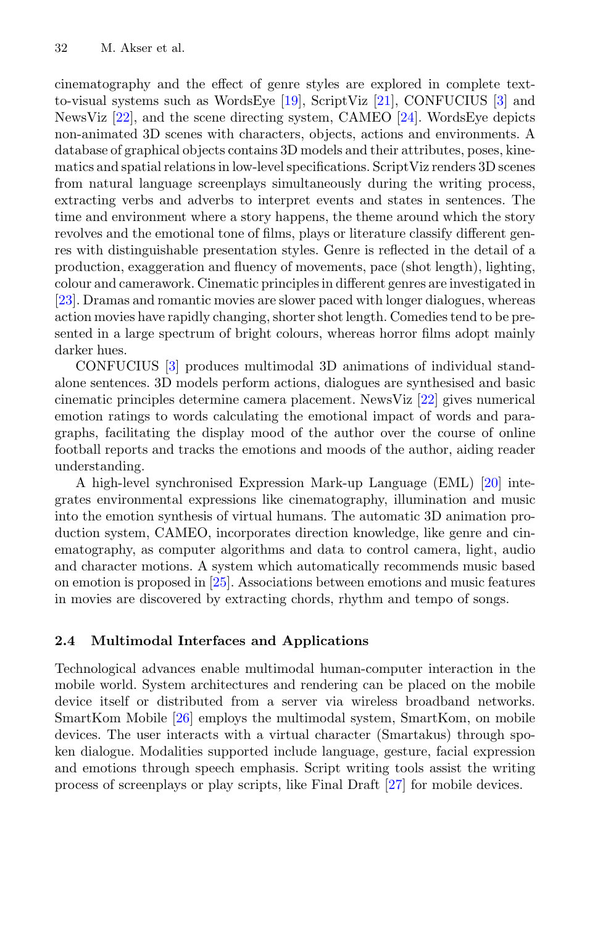cinematography and the effect of genre styles are explored in complete textto-visual systems such as WordsEye [\[19\]](#page-8-6), ScriptViz [\[21](#page-8-7)], CONFUCIUS [\[3\]](#page-7-9) and NewsViz [\[22](#page-8-8)], and the scene directing system, CAMEO [\[24](#page-8-9)]. WordsEye depicts non-animated 3D scenes with characters, objects, actions and environments. A database of graphical objects contains 3D models and their attributes, poses, kinematics and spatial relations in low-level specifications. ScriptViz renders 3D scenes from natural language screenplays simultaneously during the writing process, extracting verbs and adverbs to interpret events and states in sentences. The time and environment where a story happens, the theme around which the story revolves and the emotional tone of films, plays or literature classify different genres with distinguishable presentation styles. Genre is reflected in the detail of a production, exaggeration and fluency of movements, pace (shot length), lighting, colour and camerawork. Cinematic principles in different genres are investigated in [\[23](#page-8-10)]. Dramas and romantic movies are slower paced with longer dialogues, whereas action movies have rapidly changing, shorter shot length. Comedies tend to be presented in a large spectrum of bright colours, whereas horror films adopt mainly darker hues.

CONFUCIUS [\[3](#page-7-9)] produces multimodal 3D animations of individual standalone sentences. 3D models perform actions, dialogues are synthesised and basic cinematic principles determine camera placement. NewsViz [\[22\]](#page-8-8) gives numerical emotion ratings to words calculating the emotional impact of words and paragraphs, facilitating the display mood of the author over the course of online football reports and tracks the emotions and moods of the author, aiding reader understanding.

A high-level synchronised Expression Mark-up Language (EML) [\[20](#page-8-11)] integrates environmental expressions like cinematography, illumination and music into the emotion synthesis of virtual humans. The automatic 3D animation production system, CAMEO, incorporates direction knowledge, like genre and cinematography, as computer algorithms and data to control camera, light, audio and character motions. A system which automatically recommends music based on emotion is proposed in [\[25](#page-8-12)]. Associations between emotions and music features in movies are discovered by extracting chords, rhythm and tempo of songs.

#### **2.4 Multimodal Interfaces and Applications**

Technological advances enable multimodal human-computer interaction in the mobile world. System architectures and rendering can be placed on the mobile device itself or distributed from a server via wireless broadband networks. SmartKom Mobile [\[26\]](#page-8-13) employs the multimodal system, SmartKom, on mobile devices. The user interacts with a virtual character (Smartakus) through spoken dialogue. Modalities supported include language, gesture, facial expression and emotions through speech emphasis. Script writing tools assist the writing process of screenplays or play scripts, like Final Draft [\[27](#page-8-14)] for mobile devices.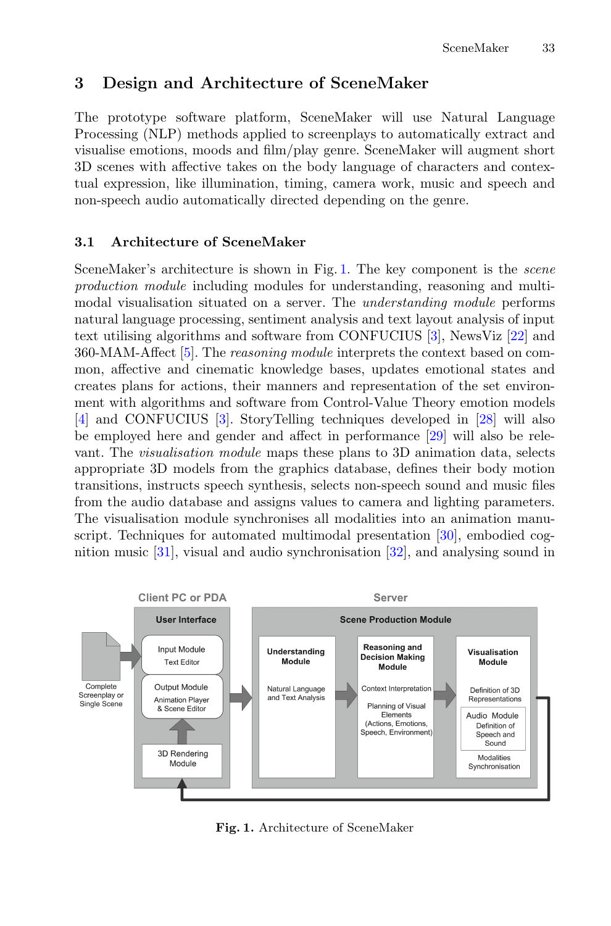### <span id="page-4-0"></span>**3 Design and Architecture of SceneMaker**

The prototype software platform, SceneMaker will use Natural Language Processing (NLP) methods applied to screenplays to automatically extract and visualise emotions, moods and film/play genre. SceneMaker will augment short 3D scenes with affective takes on the body language of characters and contextual expression, like illumination, timing, camera work, music and speech and non-speech audio automatically directed depending on the genre.

#### **3.1 Architecture of SceneMaker**

SceneMaker's architecture is shown in Fig. [1.](#page-4-1) The key component is the *scene production module* including modules for understanding, reasoning and multimodal visualisation situated on a server. The *understanding module* performs natural language processing, sentiment analysis and text layout analysis of input text utilising algorithms and software from CONFUCIUS [\[3\]](#page-7-9), NewsViz [\[22](#page-8-8)] and 360-MAM-Affect [\[5](#page-7-10)]. The *reasoning module* interprets the context based on common, affective and cinematic knowledge bases, updates emotional states and creates plans for actions, their manners and representation of the set environment with algorithms and software from Control-Value Theory emotion models [\[4](#page-7-11)] and CONFUCIUS [\[3\]](#page-7-9). StoryTelling techniques developed in [\[28\]](#page-8-15) will also be employed here and gender and affect in performance [\[29\]](#page-8-16) will also be relevant. The *visualisation module* maps these plans to 3D animation data, selects appropriate 3D models from the graphics database, defines their body motion transitions, instructs speech synthesis, selects non-speech sound and music files from the audio database and assigns values to camera and lighting parameters. The visualisation module synchronises all modalities into an animation manu-script. Techniques for automated multimodal presentation [\[30\]](#page-9-0), embodied cognition music [\[31\]](#page-9-1), visual and audio synchronisation [\[32](#page-9-2)], and analysing sound in



<span id="page-4-1"></span>**Fig. 1.** Architecture of SceneMaker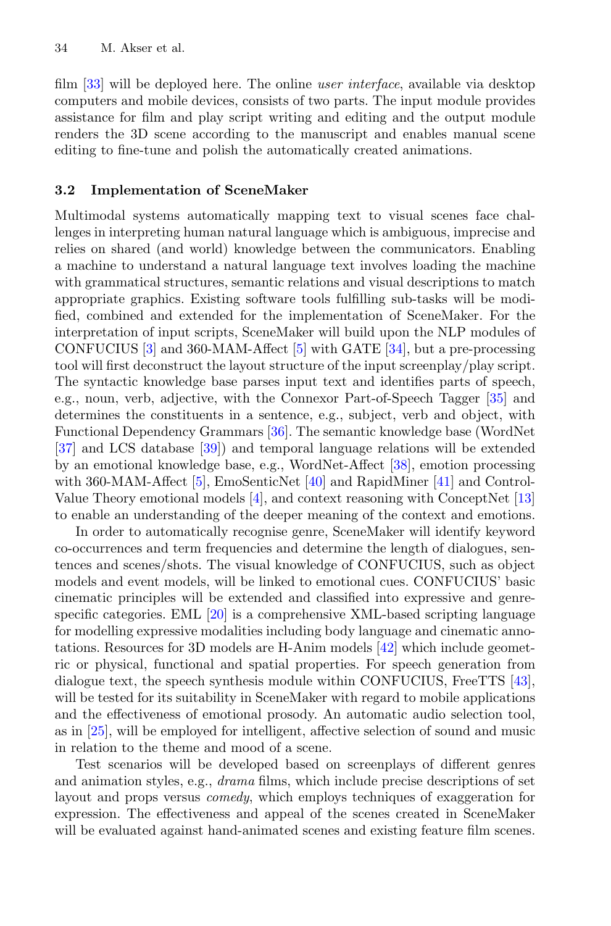film [\[33](#page-9-3)] will be deployed here. The online *user interface*, available via desktop computers and mobile devices, consists of two parts. The input module provides assistance for film and play script writing and editing and the output module renders the 3D scene according to the manuscript and enables manual scene editing to fine-tune and polish the automatically created animations.

#### **3.2 Implementation of SceneMaker**

Multimodal systems automatically mapping text to visual scenes face challenges in interpreting human natural language which is ambiguous, imprecise and relies on shared (and world) knowledge between the communicators. Enabling a machine to understand a natural language text involves loading the machine with grammatical structures, semantic relations and visual descriptions to match appropriate graphics. Existing software tools fulfilling sub-tasks will be modified, combined and extended for the implementation of SceneMaker. For the interpretation of input scripts, SceneMaker will build upon the NLP modules of CONFUCIUS [\[3](#page-7-9)] and 360-MAM-Affect [\[5](#page-7-10)] with GATE [\[34\]](#page-9-4), but a pre-processing tool will first deconstruct the layout structure of the input screenplay/play script. The syntactic knowledge base parses input text and identifies parts of speech, e.g., noun, verb, adjective, with the Connexor Part-of-Speech Tagger [\[35](#page-9-5)] and determines the constituents in a sentence, e.g., subject, verb and object, with Functional Dependency Grammars [\[36\]](#page-9-6). The semantic knowledge base (WordNet [\[37](#page-9-7)] and LCS database [\[39](#page-9-8)]) and temporal language relations will be extended by an emotional knowledge base, e.g., WordNet-Affect [\[38](#page-9-9)], emotion processing with 360-MAM-Affect [\[5\]](#page-7-10), EmoSenticNet [\[40\]](#page-9-10) and RapidMiner [\[41](#page-9-11)] and Control-Value Theory emotional models [\[4\]](#page-7-11), and context reasoning with ConceptNet [\[13](#page-8-0)] to enable an understanding of the deeper meaning of the context and emotions.

In order to automatically recognise genre, SceneMaker will identify keyword co-occurrences and term frequencies and determine the length of dialogues, sentences and scenes/shots. The visual knowledge of CONFUCIUS, such as object models and event models, will be linked to emotional cues. CONFUCIUS' basic cinematic principles will be extended and classified into expressive and genrespecific categories. EML [\[20](#page-8-11)] is a comprehensive XML-based scripting language for modelling expressive modalities including body language and cinematic annotations. Resources for 3D models are H-Anim models [\[42](#page-9-12)] which include geometric or physical, functional and spatial properties. For speech generation from dialogue text, the speech synthesis module within CONFUCIUS, FreeTTS [\[43\]](#page-9-13), will be tested for its suitability in SceneMaker with regard to mobile applications and the effectiveness of emotional prosody. An automatic audio selection tool, as in [\[25](#page-8-12)], will be employed for intelligent, affective selection of sound and music in relation to the theme and mood of a scene.

Test scenarios will be developed based on screenplays of different genres and animation styles, e.g., *drama* films, which include precise descriptions of set layout and props versus *comedy*, which employs techniques of exaggeration for expression. The effectiveness and appeal of the scenes created in SceneMaker will be evaluated against hand-animated scenes and existing feature film scenes.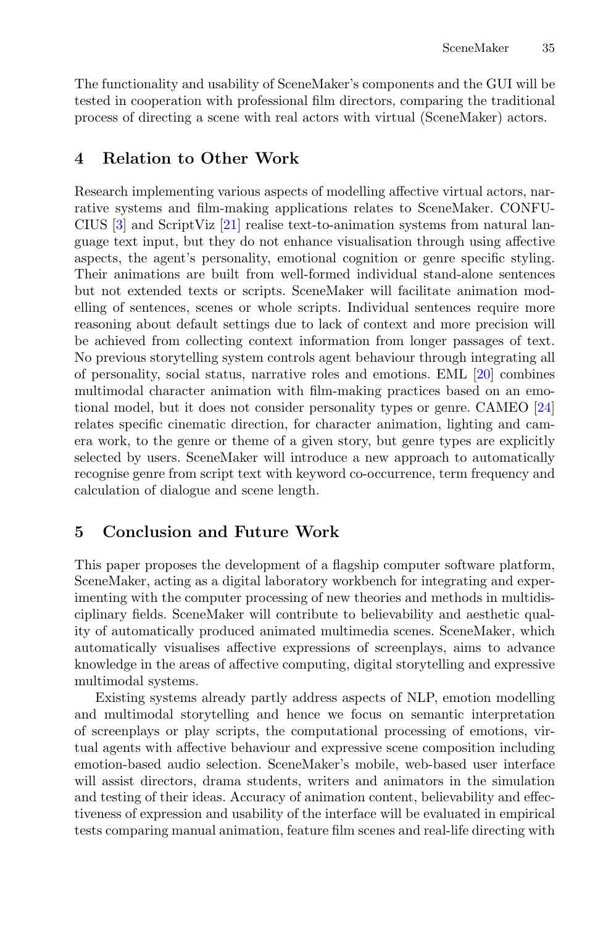The functionality and usability of SceneMaker's components and the GUI will be tested in cooperation with professional film directors, comparing the traditional process of directing a scene with real actors with virtual (SceneMaker) actors.

### <span id="page-6-0"></span>**4 Relation to Other Work**

Research implementing various aspects of modelling affective virtual actors, narrative systems and film-making applications relates to SceneMaker. CONFU-CIUS [\[3](#page-7-9)] and ScriptViz [\[21\]](#page-8-7) realise text-to-animation systems from natural language text input, but they do not enhance visualisation through using affective aspects, the agent's personality, emotional cognition or genre specific styling. Their animations are built from well-formed individual stand-alone sentences but not extended texts or scripts. SceneMaker will facilitate animation modelling of sentences, scenes or whole scripts. Individual sentences require more reasoning about default settings due to lack of context and more precision will be achieved from collecting context information from longer passages of text. No previous storytelling system controls agent behaviour through integrating all of personality, social status, narrative roles and emotions. EML [\[20\]](#page-8-11) combines multimodal character animation with film-making practices based on an emotional model, but it does not consider personality types or genre. CAMEO [\[24\]](#page-8-9) relates specific cinematic direction, for character animation, lighting and camera work, to the genre or theme of a given story, but genre types are explicitly selected by users. SceneMaker will introduce a new approach to automatically recognise genre from script text with keyword co-occurrence, term frequency and calculation of dialogue and scene length.

## <span id="page-6-1"></span>**5 Conclusion and Future Work**

This paper proposes the development of a flagship computer software platform, SceneMaker, acting as a digital laboratory workbench for integrating and experimenting with the computer processing of new theories and methods in multidisciplinary fields. SceneMaker will contribute to believability and aesthetic quality of automatically produced animated multimedia scenes. SceneMaker, which automatically visualises affective expressions of screenplays, aims to advance knowledge in the areas of affective computing, digital storytelling and expressive multimodal systems.

Existing systems already partly address aspects of NLP, emotion modelling and multimodal storytelling and hence we focus on semantic interpretation of screenplays or play scripts, the computational processing of emotions, virtual agents with affective behaviour and expressive scene composition including emotion-based audio selection. SceneMaker's mobile, web-based user interface will assist directors, drama students, writers and animators in the simulation and testing of their ideas. Accuracy of animation content, believability and effectiveness of expression and usability of the interface will be evaluated in empirical tests comparing manual animation, feature film scenes and real-life directing with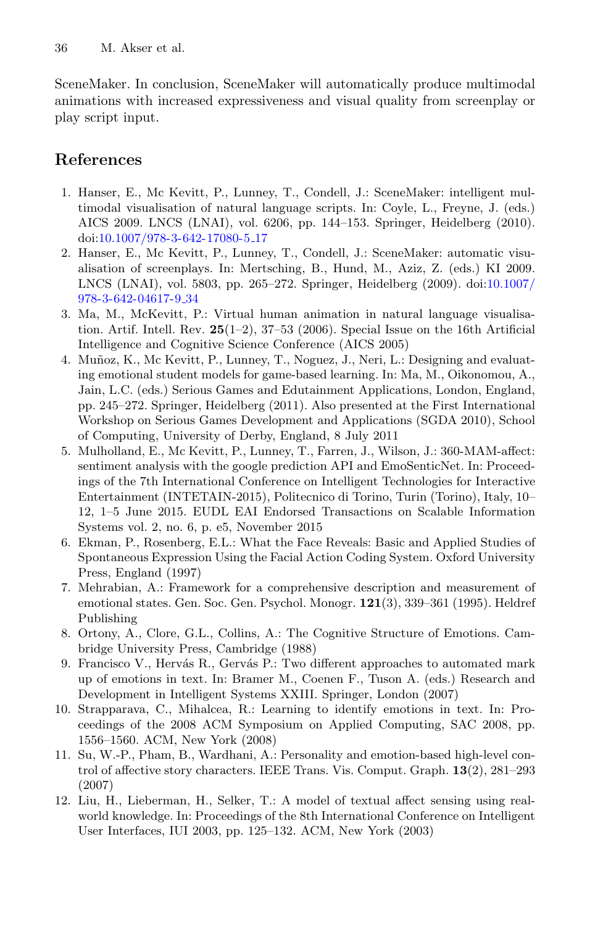SceneMaker. In conclusion, SceneMaker will automatically produce multimodal animations with increased expressiveness and visual quality from screenplay or play script input.

# <span id="page-7-0"></span>**References**

- 1. Hanser, E., Mc Kevitt, P., Lunney, T., Condell, J.: SceneMaker: intelligent multimodal visualisation of natural language scripts. In: Coyle, L., Freyne, J. (eds.) AICS 2009. LNCS (LNAI), vol. 6206, pp. 144–153. Springer, Heidelberg (2010). doi[:10.1007/978-3-642-17080-5](http://dx.doi.org/10.1007/978-3-642-17080-5_17) 17
- <span id="page-7-1"></span>2. Hanser, E., Mc Kevitt, P., Lunney, T., Condell, J.: SceneMaker: automatic visualisation of screenplays. In: Mertsching, B., Hund, M., Aziz, Z. (eds.) KI 2009. LNCS (LNAI), vol. 5803, pp. 265–272. Springer, Heidelberg (2009). doi[:10.1007/](http://dx.doi.org/10.1007/978-3-642-04617-9_34) [978-3-642-04617-9](http://dx.doi.org/10.1007/978-3-642-04617-9_34) 34
- <span id="page-7-9"></span>3. Ma, M., McKevitt, P.: Virtual human animation in natural language visualisation. Artif. Intell. Rev. **25**(1–2), 37–53 (2006). Special Issue on the 16th Artificial Intelligence and Cognitive Science Conference (AICS 2005)
- <span id="page-7-11"></span>4. Muñoz, K., Mc Kevitt, P., Lunney, T., Noguez, J., Neri, L.: Designing and evaluating emotional student models for game-based learning. In: Ma, M., Oikonomou, A., Jain, L.C. (eds.) Serious Games and Edutainment Applications, London, England, pp. 245–272. Springer, Heidelberg (2011). Also presented at the First International Workshop on Serious Games Development and Applications (SGDA 2010), School of Computing, University of Derby, England, 8 July 2011
- <span id="page-7-10"></span>5. Mulholland, E., Mc Kevitt, P., Lunney, T., Farren, J., Wilson, J.: 360-MAM-affect: sentiment analysis with the google prediction API and EmoSenticNet. In: Proceedings of the 7th International Conference on Intelligent Technologies for Interactive Entertainment (INTETAIN-2015), Politecnico di Torino, Turin (Torino), Italy, 10– 12, 1–5 June 2015. EUDL EAI Endorsed Transactions on Scalable Information Systems vol. 2, no. 6, p. e5, November 2015
- <span id="page-7-2"></span>6. Ekman, P., Rosenberg, E.L.: What the Face Reveals: Basic and Applied Studies of Spontaneous Expression Using the Facial Action Coding System. Oxford University Press, England (1997)
- <span id="page-7-3"></span>7. Mehrabian, A.: Framework for a comprehensive description and measurement of emotional states. Gen. Soc. Gen. Psychol. Monogr. **121**(3), 339–361 (1995). Heldref Publishing
- <span id="page-7-4"></span>8. Ortony, A., Clore, G.L., Collins, A.: The Cognitive Structure of Emotions. Cambridge University Press, Cambridge (1988)
- <span id="page-7-5"></span>9. Francisco V., Hervás R., Gervás P.: Two different approaches to automated mark up of emotions in text. In: Bramer M., Coenen F., Tuson A. (eds.) Research and Development in Intelligent Systems XXIII. Springer, London (2007)
- <span id="page-7-6"></span>10. Strapparava, C., Mihalcea, R.: Learning to identify emotions in text. In: Proceedings of the 2008 ACM Symposium on Applied Computing, SAC 2008, pp. 1556–1560. ACM, New York (2008)
- <span id="page-7-7"></span>11. Su, W.-P., Pham, B., Wardhani, A.: Personality and emotion-based high-level control of affective story characters. IEEE Trans. Vis. Comput. Graph. **13**(2), 281–293 (2007)
- <span id="page-7-8"></span>12. Liu, H., Lieberman, H., Selker, T.: A model of textual affect sensing using realworld knowledge. In: Proceedings of the 8th International Conference on Intelligent User Interfaces, IUI 2003, pp. 125–132. ACM, New York (2003)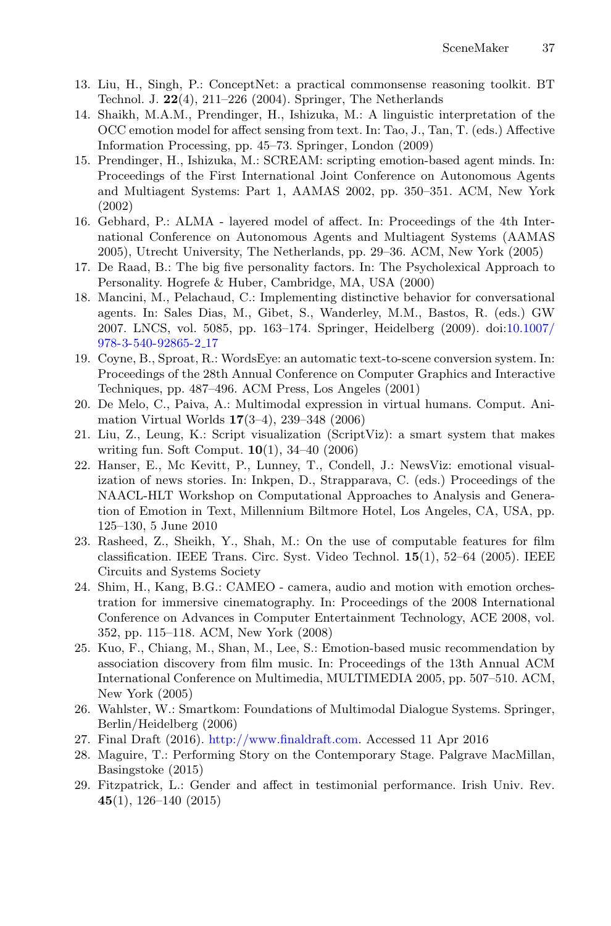- <span id="page-8-0"></span>13. Liu, H., Singh, P.: ConceptNet: a practical commonsense reasoning toolkit. BT Technol. J. **22**(4), 211–226 (2004). Springer, The Netherlands
- <span id="page-8-1"></span>14. Shaikh, M.A.M., Prendinger, H., Ishizuka, M.: A linguistic interpretation of the OCC emotion model for affect sensing from text. In: Tao, J., Tan, T. (eds.) Affective Information Processing, pp. 45–73. Springer, London (2009)
- <span id="page-8-2"></span>15. Prendinger, H., Ishizuka, M.: SCREAM: scripting emotion-based agent minds. In: Proceedings of the First International Joint Conference on Autonomous Agents and Multiagent Systems: Part 1, AAMAS 2002, pp. 350–351. ACM, New York (2002)
- <span id="page-8-3"></span>16. Gebhard, P.: ALMA - layered model of affect. In: Proceedings of the 4th International Conference on Autonomous Agents and Multiagent Systems (AAMAS 2005), Utrecht University, The Netherlands, pp. 29–36. ACM, New York (2005)
- <span id="page-8-4"></span>17. De Raad, B.: The big five personality factors. In: The Psycholexical Approach to Personality. Hogrefe & Huber, Cambridge, MA, USA (2000)
- <span id="page-8-5"></span>18. Mancini, M., Pelachaud, C.: Implementing distinctive behavior for conversational agents. In: Sales Dias, M., Gibet, S., Wanderley, M.M., Bastos, R. (eds.) GW 2007. LNCS, vol. 5085, pp. 163–174. Springer, Heidelberg (2009). doi[:10.1007/](http://dx.doi.org/10.1007/978-3-540-92865-2_17) [978-3-540-92865-2](http://dx.doi.org/10.1007/978-3-540-92865-2_17) 17
- <span id="page-8-6"></span>19. Coyne, B., Sproat, R.: WordsEye: an automatic text-to-scene conversion system. In: Proceedings of the 28th Annual Conference on Computer Graphics and Interactive Techniques, pp. 487–496. ACM Press, Los Angeles (2001)
- <span id="page-8-11"></span>20. De Melo, C., Paiva, A.: Multimodal expression in virtual humans. Comput. Animation Virtual Worlds **17**(3–4), 239–348 (2006)
- <span id="page-8-7"></span>21. Liu, Z., Leung, K.: Script visualization (ScriptViz): a smart system that makes writing fun. Soft Comput. **10**(1), 34–40 (2006)
- <span id="page-8-8"></span>22. Hanser, E., Mc Kevitt, P., Lunney, T., Condell, J.: NewsViz: emotional visualization of news stories. In: Inkpen, D., Strapparava, C. (eds.) Proceedings of the NAACL-HLT Workshop on Computational Approaches to Analysis and Generation of Emotion in Text, Millennium Biltmore Hotel, Los Angeles, CA, USA, pp. 125–130, 5 June 2010
- <span id="page-8-10"></span>23. Rasheed, Z., Sheikh, Y., Shah, M.: On the use of computable features for film classification. IEEE Trans. Circ. Syst. Video Technol. **15**(1), 52–64 (2005). IEEE Circuits and Systems Society
- <span id="page-8-9"></span>24. Shim, H., Kang, B.G.: CAMEO - camera, audio and motion with emotion orchestration for immersive cinematography. In: Proceedings of the 2008 International Conference on Advances in Computer Entertainment Technology, ACE 2008, vol. 352, pp. 115–118. ACM, New York (2008)
- <span id="page-8-12"></span>25. Kuo, F., Chiang, M., Shan, M., Lee, S.: Emotion-based music recommendation by association discovery from film music. In: Proceedings of the 13th Annual ACM International Conference on Multimedia, MULTIMEDIA 2005, pp. 507–510. ACM, New York (2005)
- <span id="page-8-13"></span>26. Wahlster, W.: Smartkom: Foundations of Multimodal Dialogue Systems. Springer, Berlin/Heidelberg (2006)
- <span id="page-8-14"></span>27. Final Draft (2016). [http://www.finaldraft.com.](http://www.finaldraft.com) Accessed 11 Apr 2016
- <span id="page-8-15"></span>28. Maguire, T.: Performing Story on the Contemporary Stage. Palgrave MacMillan, Basingstoke (2015)
- <span id="page-8-16"></span>29. Fitzpatrick, L.: Gender and affect in testimonial performance. Irish Univ. Rev. **45**(1), 126–140 (2015)